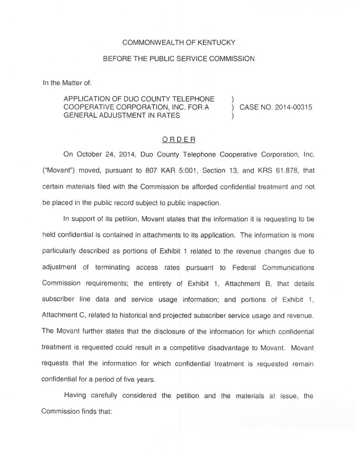## COMMONWEALTH OF KENTUCKY

## BEFORE THE PUBLIC SERVICE COMMISSION

In the Matter of:

## APPLICATION OF DUO COUNTY TELEPHONE COOPERATIVE CORPORATION, INC. FOR A GENERAL ADJUSTMENT IN RATES

) CASE NO. 2014-00315

)

)

## ORDER

On October 24, 2014, Duo County Telephone Cooperative Corporation, Inc. ("Movant") moved, pursuant to 807 KAR 5:001, Section 13, and KRS 61.878, that certain materials filed with the Commission be afforded confidential treatment and not be placed in the public record subject to public inspection.

In support of its petition, Movant states that the information it is requesting to be held confidential is contained in attachments to its application. The information is more particularly described as portions of Exhibit <sup>1</sup> related to the revenue changes due to adjustment of terminating access rates pursuant to Federal Communications Commission requirements; the entirety of Exhibit 1, Attachment B, that details subscriber line data and service usage information; and portions of Exhibit 1, Attachment C, related to historical and projected subscriber service usage and revenue. The Movant further states that the disclosure of the information for which confidential treatment is requested could result in a competitive disadvantage to Movant. Movant requests that the information for which confidential treatment is requested remain confidential for a period of five years.

Having carefully considered the petition and the materials at issue, the Commission finds that: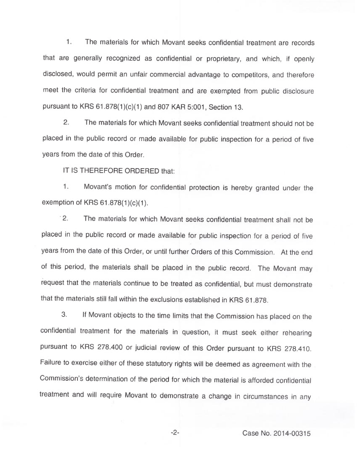1. The materials for which Movant seeks confidential treatment are records that are generally recognized as confidential or proprietary, and which, if openly disclosed, would permit an unfair commercial advantage to competitors, and therefore meet the criteria for confidential treatment and are exempted from public disclosure pursuant to KRS 61.878(1)(c)(1) and 807 KAR 5:001, Section 13.

2. The materials for which Movant seeks confidential treatment should not be placed in the public record or made available for public inspection for a period of five years from the date of this Order.

IT IS THEREFORE ORDERED that:

1. Movant's motion for confidential protection is hereby granted under the exemption of KRS 61.878(1)(c)(1).

2. The materials for which Movant seeks confidential treatment shall not be placed in the public record or made available for public inspection for a period of five years from the date of this Order, or until further Orders of this Commission. At the end of this period, the materials shall be placed in the public record. The Movant may request that the materials continue to be treated as confidential, but must demonstrate that the materials still fall within the exclusions established in KRS 61.878.

3. If Movant objects to the time limits that the Commission has placed on the confidential treatment for the materials in question, it must seek either rehearing pursuant to KRS 278.400 or judicial review of this Order pursuant to KRS 278.410. Failure to exercise either of these statutory rights will be deemed as agreement with the Commission's determination of the period for which the material is afforded confidential treatment and will require Movant to demonstrate a change in circumstances in any

-2- Case No. 2014-00315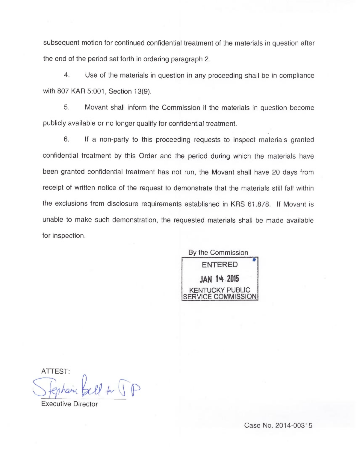subsequent motion for continued confidential treatment of the materials in question after the end of the period set forth in ordering paragraph 2.

4. Use of the materials in question in any proceeding shall be in compliance with 807 KAR 5:001, Section 13(9).

5. Movant shall inform the Commission if the materials in question become publicly available or no longer qualify for confidential treatment.

6. If a non-party to this proceeding requests to inspect materials granted confidential treatment by this Order and the period during which the materials have been granted confidential treatment has not run, the Movant shall have 20 days from receipt of written notice of the request to demonstrate that the materials still fall within the exclusions from disclosure requirements established in KRS 61.878. If Movant is unable to make such demonstration, the requested materials shall be made available for inspection.

By the Commission ENTERED JAN 14 2015 **JCKY PUBLIC** *ACE COMMISSION* 

ATTEST

 $f(x)$ 

Executive Director